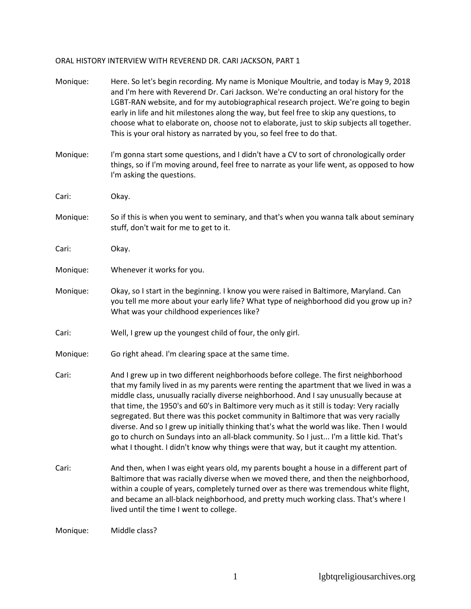## ORAL HISTORY INTERVIEW WITH REVEREND DR. CARI JACKSON, PART 1

| Monique: | Here. So let's begin recording. My name is Monique Moultrie, and today is May 9, 2018<br>and I'm here with Reverend Dr. Cari Jackson. We're conducting an oral history for the<br>LGBT-RAN website, and for my autobiographical research project. We're going to begin<br>early in life and hit milestones along the way, but feel free to skip any questions, to<br>choose what to elaborate on, choose not to elaborate, just to skip subjects all together.<br>This is your oral history as narrated by you, so feel free to do that.                                                                                                                                                                                                   |
|----------|--------------------------------------------------------------------------------------------------------------------------------------------------------------------------------------------------------------------------------------------------------------------------------------------------------------------------------------------------------------------------------------------------------------------------------------------------------------------------------------------------------------------------------------------------------------------------------------------------------------------------------------------------------------------------------------------------------------------------------------------|
| Monique: | I'm gonna start some questions, and I didn't have a CV to sort of chronologically order<br>things, so if I'm moving around, feel free to narrate as your life went, as opposed to how<br>I'm asking the questions.                                                                                                                                                                                                                                                                                                                                                                                                                                                                                                                         |
| Cari:    | Okay.                                                                                                                                                                                                                                                                                                                                                                                                                                                                                                                                                                                                                                                                                                                                      |
| Monique: | So if this is when you went to seminary, and that's when you wanna talk about seminary<br>stuff, don't wait for me to get to it.                                                                                                                                                                                                                                                                                                                                                                                                                                                                                                                                                                                                           |
| Cari:    | Okay.                                                                                                                                                                                                                                                                                                                                                                                                                                                                                                                                                                                                                                                                                                                                      |
| Monique: | Whenever it works for you.                                                                                                                                                                                                                                                                                                                                                                                                                                                                                                                                                                                                                                                                                                                 |
| Monique: | Okay, so I start in the beginning. I know you were raised in Baltimore, Maryland. Can<br>you tell me more about your early life? What type of neighborhood did you grow up in?<br>What was your childhood experiences like?                                                                                                                                                                                                                                                                                                                                                                                                                                                                                                                |
| Cari:    | Well, I grew up the youngest child of four, the only girl.                                                                                                                                                                                                                                                                                                                                                                                                                                                                                                                                                                                                                                                                                 |
| Monique: | Go right ahead. I'm clearing space at the same time.                                                                                                                                                                                                                                                                                                                                                                                                                                                                                                                                                                                                                                                                                       |
| Cari:    | And I grew up in two different neighborhoods before college. The first neighborhood<br>that my family lived in as my parents were renting the apartment that we lived in was a<br>middle class, unusually racially diverse neighborhood. And I say unusually because at<br>that time, the 1950's and 60's in Baltimore very much as it still is today: Very racially<br>segregated. But there was this pocket community in Baltimore that was very racially<br>diverse. And so I grew up initially thinking that's what the world was like. Then I would<br>go to church on Sundays into an all-black community. So I just I'm a little kid. That's<br>what I thought. I didn't know why things were that way, but it caught my attention. |
| Cari:    | And then, when I was eight years old, my parents bought a house in a different part of<br>Baltimore that was racially diverse when we moved there, and then the neighborhood,<br>within a couple of years, completely turned over as there was tremendous white flight,<br>and became an all-black neighborhood, and pretty much working class. That's where I<br>lived until the time I went to college.                                                                                                                                                                                                                                                                                                                                  |
| Monique: | Middle class?                                                                                                                                                                                                                                                                                                                                                                                                                                                                                                                                                                                                                                                                                                                              |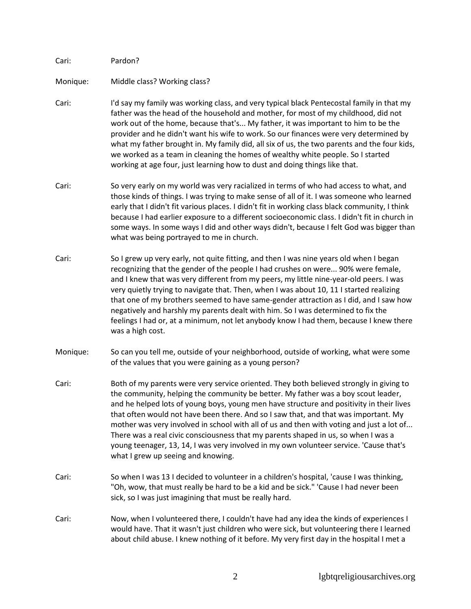Cari: Pardon?

Monique: Middle class? Working class?

- Cari: I'd say my family was working class, and very typical black Pentecostal family in that my father was the head of the household and mother, for most of my childhood, did not work out of the home, because that's... My father, it was important to him to be the provider and he didn't want his wife to work. So our finances were very determined by what my father brought in. My family did, all six of us, the two parents and the four kids, we worked as a team in cleaning the homes of wealthy white people. So I started working at age four, just learning how to dust and doing things like that.
- Cari: So very early on my world was very racialized in terms of who had access to what, and those kinds of things. I was trying to make sense of all of it. I was someone who learned early that I didn't fit various places. I didn't fit in working class black community, I think because I had earlier exposure to a different socioeconomic class. I didn't fit in church in some ways. In some ways I did and other ways didn't, because I felt God was bigger than what was being portrayed to me in church.
- Cari: So I grew up very early, not quite fitting, and then I was nine years old when I began recognizing that the gender of the people I had crushes on were... 90% were female, and I knew that was very different from my peers, my little nine-year-old peers. I was very quietly trying to navigate that. Then, when I was about 10, 11 I started realizing that one of my brothers seemed to have same-gender attraction as I did, and I saw how negatively and harshly my parents dealt with him. So I was determined to fix the feelings I had or, at a minimum, not let anybody know I had them, because I knew there was a high cost.
- Monique: So can you tell me, outside of your neighborhood, outside of working, what were some of the values that you were gaining as a young person?
- Cari: Both of my parents were very service oriented. They both believed strongly in giving to the community, helping the community be better. My father was a boy scout leader, and he helped lots of young boys, young men have structure and positivity in their lives that often would not have been there. And so I saw that, and that was important. My mother was very involved in school with all of us and then with voting and just a lot of... There was a real civic consciousness that my parents shaped in us, so when I was a young teenager, 13, 14, I was very involved in my own volunteer service. 'Cause that's what I grew up seeing and knowing.
- Cari: So when I was 13 I decided to volunteer in a children's hospital, 'cause I was thinking, "Oh, wow, that must really be hard to be a kid and be sick." 'Cause I had never been sick, so I was just imagining that must be really hard.
- Cari: Now, when I volunteered there, I couldn't have had any idea the kinds of experiences I would have. That it wasn't just children who were sick, but volunteering there I learned about child abuse. I knew nothing of it before. My very first day in the hospital I met a